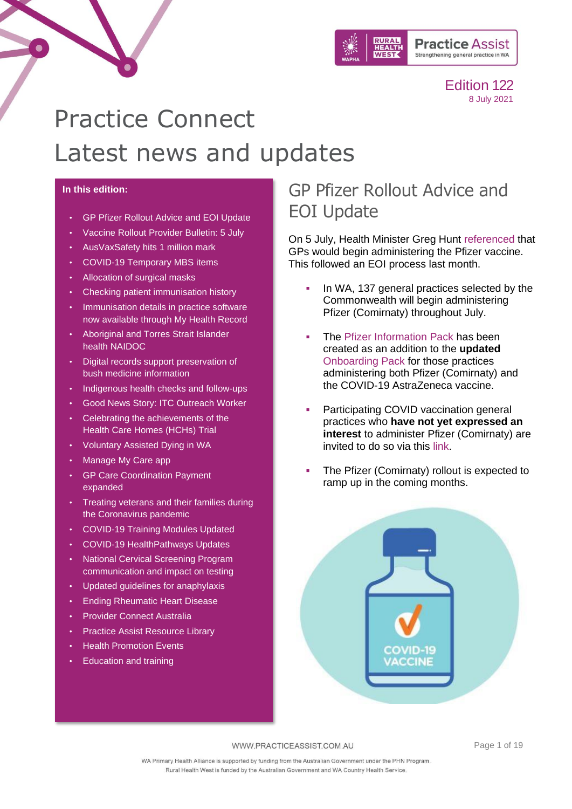

# Practice Connect Latest news and updates

#### **In this edition:**

- [GP Pfizer Rollout Advice and EOI Update](#page-0-0)
- [Vaccine Rollout Provider Bulletin: 5 July](#page-1-0)
- [AusVaxSafety hits 1 million mark](#page-1-1)
- [COVID-19 Temporary MBS items](#page-2-0)
- [Allocation of surgical masks](#page-3-0)
- [Checking patient immunisation history](#page-3-1)
- [Immunisation details in practice software](#page-4-0)  [now available through My Health Record](#page-4-0)
- [Aboriginal and Torres Strait Islander](#page-4-1)  [health NAIDOC](#page-4-1)
- [Digital records support preservation of](#page-7-0)  [bush medicine information](#page-7-0)
- [Indigenous health checks and follow-ups](#page-7-1)
- [Good News Story: ITC Outreach Worker](#page-8-0)
- [Celebrating the achievements of the](#page-8-1)  [Health Care Homes \(HCHs\) Trial](#page-8-1)
- [Voluntary Assisted Dying in WA](#page-9-0)
- [Manage My Care app](#page-10-0)
- [GP Care Coordination Payment](#page-11-0)  [expanded](#page-11-0)
- [Treating veterans and their families during](#page-11-1)  [the Coronavirus pandemic](#page-11-1)
- [COVID-19 Training Modules Updated](#page-11-2)
- [COVID-19 HealthPathways Updates](#page-12-0)
- [National Cervical Screening Program](#page-12-1)  [communication and impact on testing](#page-12-1)
- [Updated guidelines for anaphylaxis](#page-13-0)
- [Ending Rheumatic Heart Disease](#page-13-1)
- [Provider Connect Australia](#page-14-0)
- [Practice Assist Resource Library](#page-14-1)
- **[Health Promotion Events](#page-15-0)**
- [Education and training](#page-17-0)

### <span id="page-0-0"></span>GP Pfizer Rollout Advice and EOI Update

On 5 July, Health Minister Greg Hunt [referenced](https://www.health.gov.au/ministers/the-hon-greg-hunt-mp/media/major-step-in-covid-19-vaccine-rollout) that GPs would begin administering the Pfizer vaccine. This followed an EOI process last month.

- In WA, 137 general practices selected by the Commonwealth will begin administering Pfizer (Comirnaty) throughout July.
- The [Pfizer Information Pack](https://www.practiceassist.com.au/PracticeAssist/media/Coronavirus-(COVID-19)/Pfizer-Information-Pack-24-June-2021.pdf) has been created as an addition to the **updated** [Onboarding Pack](https://www.practiceassist.com.au/PracticeAssist/media/Coronavirus-(COVID-19)/5_July_Primary-Care-COVID-19-vaccine-rollout-Onboarding-Pack-Version-4_.pdf) for those practices administering both Pfizer (Comirnaty) and the COVID-19 AstraZeneca vaccine.
- Participating COVID vaccination general practices who **have not yet expressed an interest** to administer Pfizer (Comirnaty) are invited to do so via this [link.](https://forms.office.com/pages/responsepage.aspx?id=rs2efkR1TEes8UdG0CKpvP1QZK2_701Mgr7s9tgDg4JUN0hTU1RENUxJSkJaN1pRSzkxQVNZSEtEWC4u)
- The Pfizer (Comirnaty) rollout is expected to ramp up in the coming months.



WWW.PRACTICEASSIST.COM.AU

Page 1 of 19

WA Primary Health Alliance is supported by funding from the Australian Government under the PHN Program. Rural Health West is funded by the Australian Government and WA Country Health Service.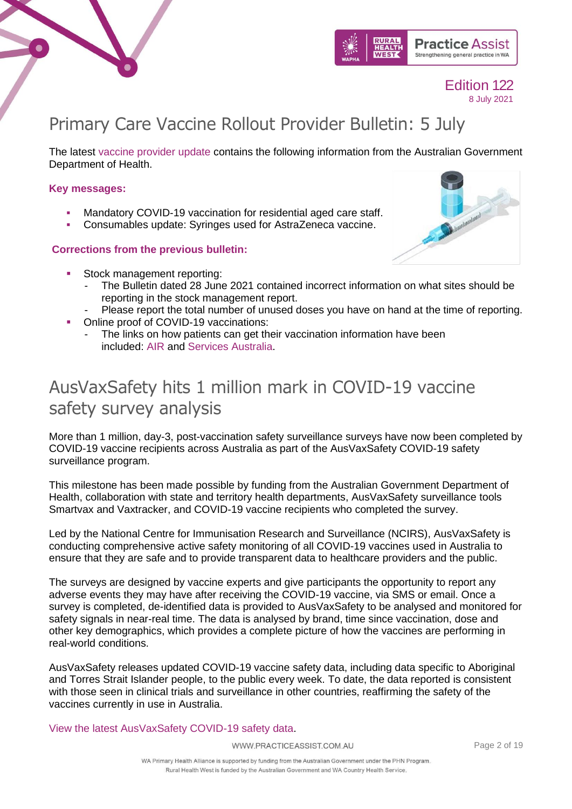



# <span id="page-1-0"></span>Primary Care Vaccine Rollout Provider Bulletin: 5 July

The latest [vaccine provider update](https://www.practiceassist.com.au/PracticeAssist/media/Coronavirus-(COVID-19)/PROVIDER-BULLETIN-5-July-2021.pdf) contains the following information from the Australian Government Department of Health.

### **Key messages:**

- Mandatory COVID-19 vaccination for residential aged care staff.
- Consumables update: Syringes used for AstraZeneca vaccine.

### **Corrections from the previous bulletin:**

- Stock management reporting:
	- The Bulletin dated 28 June 2021 contained incorrect information on what sites should be reporting in the stock management report.
	- Please report the total number of unused doses you have on hand at the time of reporting.
- Online proof of COVID-19 vaccinations:
	- The links on how patients can get their vaccination information have been included: [AIR](https://www.servicesaustralia.gov.au/individuals/services/medicare/australian-immunisation-register/how-get-immunisation-history-statement) and Services [Australia.](https://www.servicesaustralia.gov.au/individuals/subjects/getting-help-during-coronavirus-covid-19/covid-19-vaccinations/how-get-proof-your-covid-19-vaccinations)

# <span id="page-1-1"></span>AusVaxSafety hits 1 million mark in COVID-19 vaccine safety survey analysis

More than 1 million, day-3, post-vaccination safety surveillance surveys have now been completed by COVID-19 vaccine recipients across Australia as part of the AusVaxSafety COVID-19 safety surveillance program.

This milestone has been made possible by funding from the Australian Government Department of Health, collaboration with state and territory health departments, AusVaxSafety surveillance tools Smartvax and Vaxtracker, and COVID-19 vaccine recipients who completed the survey.

Led by the National Centre for Immunisation Research and Surveillance (NCIRS), AusVaxSafety is conducting comprehensive active safety monitoring of all COVID-19 vaccines used in Australia to ensure that they are safe and to provide transparent data to healthcare providers and the public.

The surveys are designed by vaccine experts and give participants the opportunity to report any adverse events they may have after receiving the COVID-19 vaccine, via SMS or email. Once a survey is completed, de-identified data is provided to AusVaxSafety to be analysed and monitored for safety signals in near-real time. The data is analysed by brand, time since vaccination, dose and other key demographics, which provides a complete picture of how the vaccines are performing in real-world conditions.

AusVaxSafety releases updated COVID-19 vaccine safety data, including data specific to Aboriginal and Torres Strait Islander people, to the public every week. To date, the data reported is consistent with those seen in clinical trials and surveillance in other countries, reaffirming the safety of the vaccines currently in use in Australia.

[View the latest AusVaxSafety COVID-19 safety data.](https://www.ausvaxsafety.org.au/safety-data/covid-19-vaccines)

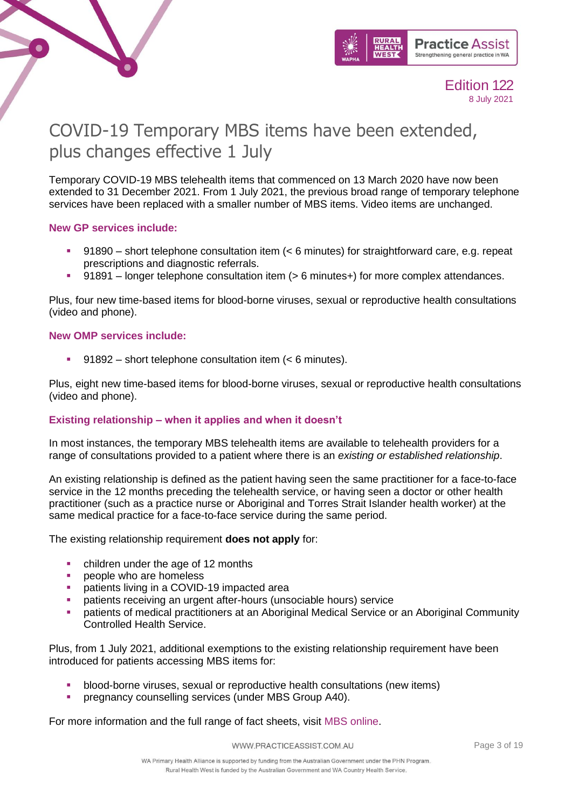



# <span id="page-2-0"></span>COVID-19 Temporary MBS items have been extended, plus changes effective 1 July

Temporary COVID-19 MBS telehealth items that commenced on 13 March 2020 have now been extended to 31 December 2021. From 1 July 2021, the previous broad range of temporary telephone services have been replaced with a smaller number of MBS items. Video items are unchanged.

#### **New GP services include:**

- 91890 short telephone consultation item (< 6 minutes) for straightforward care, e.g. repeat prescriptions and diagnostic referrals.
- 91891 longer telephone consultation item (> 6 minutes+) for more complex attendances.

Plus, four new time-based items for blood-borne viruses, sexual or reproductive health consultations (video and phone).

#### **New OMP services include:**

 $91892$  – short telephone consultation item (< 6 minutes).

Plus, eight new time-based items for blood-borne viruses, sexual or reproductive health consultations (video and phone).

### **Existing relationship – when it applies and when it doesn't**

In most instances, the temporary MBS telehealth items are available to telehealth providers for a range of consultations provided to a patient where there is an *existing or established relationship*.

An existing relationship is defined as the patient having seen the same practitioner for a face-to-face service in the 12 months preceding the telehealth service, or having seen a doctor or other health practitioner (such as a practice nurse or Aboriginal and Torres Strait Islander health worker) at the same medical practice for a face-to-face service during the same period.

The existing relationship requirement **does not apply** for:

- children under the age of 12 months
- people who are homeless
- patients living in a COVID-19 impacted area
- patients receiving an urgent after-hours (unsociable hours) service
- patients of medical practitioners at an Aboriginal Medical Service or an Aboriginal Community Controlled Health Service.

Plus, from 1 July 2021, additional exemptions to the existing relationship requirement have been introduced for patients accessing MBS items for:

- blood-borne viruses, sexual or reproductive health consultations (new items)
- pregnancy counselling services (under MBS Group A40).

For more information and the full range of fact sheets, visit [MBS online.](https://www.mbsonline.gov.au/internet/mbsonline/publishing.nsf/Content/Factsheet-TempBB)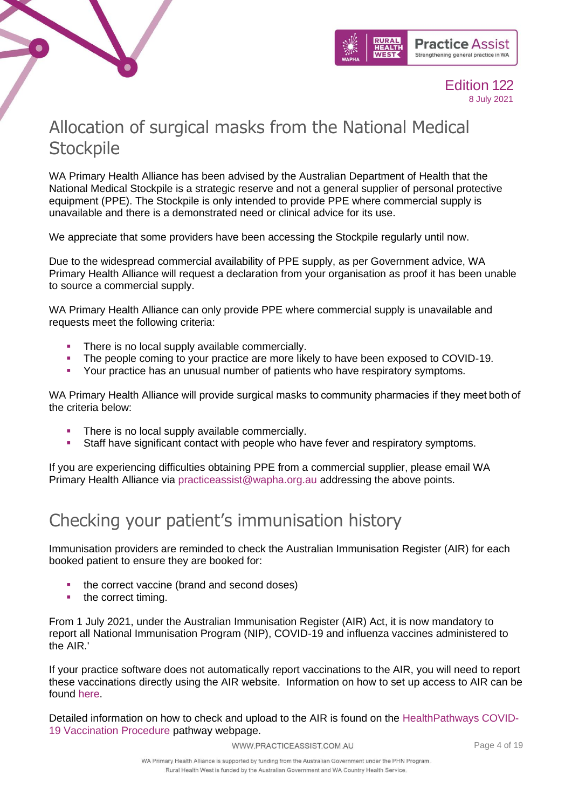



# <span id="page-3-0"></span>Allocation of surgical masks from the National Medical **Stockpile**

WA Primary Health Alliance has been advised by the Australian Department of Health that the National Medical Stockpile is a strategic reserve and not a general supplier of personal protective equipment (PPE). The Stockpile is only intended to provide PPE where commercial supply is unavailable and there is a demonstrated need or clinical advice for its use.

We appreciate that some providers have been accessing the Stockpile regularly until now.

Due to the widespread commercial availability of PPE supply, as per Government advice, WA Primary Health Alliance will request a declaration from your organisation as proof it has been unable to source a commercial supply.

WA Primary Health Alliance can only provide PPE where commercial supply is unavailable and requests meet the following criteria:

- **·** There is no local supply available commercially.
- The people coming to your practice are more likely to have been exposed to COVID-19.
- **Your practice has an unusual number of patients who have respiratory symptoms.**

WA Primary Health Alliance will provide surgical masks to community pharmacies if they meet both of the criteria below:

- **There is no local supply available commercially.**
- Staff have significant contact with people who have fever and respiratory symptoms.

If you are experiencing difficulties obtaining PPE from a commercial supplier, please email WA Primary Health Alliance via [practiceassist@wapha.org.au](mailto:practiceassist@wapha.org.au) addressing the above points.

### <span id="page-3-1"></span>Checking your patient's immunisation history

Immunisation providers are reminded to check the Australian Immunisation Register (AIR) for each booked patient to ensure they are booked for:

- the correct vaccine (brand and second doses)
- the correct timing.

From 1 July 2021, under the Australian Immunisation Register (AIR) Act, it is now mandatory to report all National Immunisation Program (NIP), COVID-19 and influenza vaccines administered to the AIR.'

If your practice software does not automatically report vaccinations to the AIR, you will need to report these vaccinations directly using the AIR website. Information on how to set up access to AIR can be found [here.](https://www.servicesaustralia.gov.au/organisations/health-professionals/services/medicare/australian-immunisation-register-health-professionals/how-set-your-access-air)

Detailed information on how to check and upload to the AIR is found on the [HealthPathways COVID-](https://wa.communityhealthpathways.org/803793.htm)[19 Vaccination Procedure](https://wa.communityhealthpathways.org/803793.htm) pathway webpage.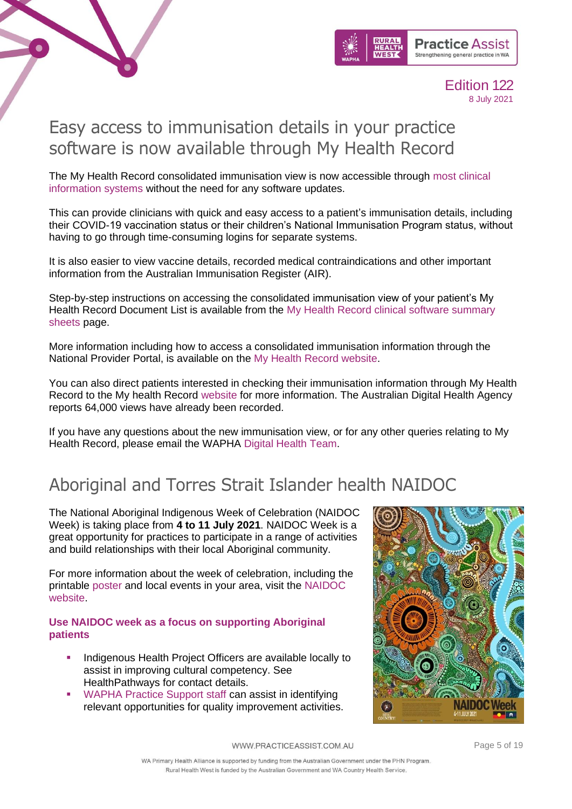



### <span id="page-4-0"></span>Easy access to immunisation details in your practice software is now available through My Health Record

The My Health Record consolidated immunisation view is now accessible through [most clinical](https://www.myhealthrecord.gov.au/for-healthcare-professionals/conformant-clinical-software-products)  [information systems](https://www.myhealthrecord.gov.au/for-healthcare-professionals/conformant-clinical-software-products) without the need for any software updates.

This can provide clinicians with quick and easy access to a patient's immunisation details, including their COVID-19 vaccination status or their children's National Immunisation Program status, without having to go through time-consuming logins for separate systems.

It is also easier to view vaccine details, recorded medical contraindications and other important information from the Australian Immunisation Register (AIR).

Step-by-step instructions on accessing the consolidated immunisation view of your patient's My Health Record Document List is available from the [My Health Record clinical software summary](https://www.myhealthrecord.gov.au/for-healthcare-professionals/clinical-software-summary-sheets)  [sheets](https://www.myhealthrecord.gov.au/for-healthcare-professionals/clinical-software-summary-sheets) page.

More information including how to access a consolidated immunisation information through the National Provider Portal, is available on the [My Health Record website.](https://www.myhealthrecord.gov.au/for-healthcare-professionals/howtos/access-my-health-record-using-provider-portal)

You can also direct patients interested in checking their immunisation information through My Health Record to the My health Record [website](https://www.myhealthrecord.gov.au/for-you-your-family) for more information. The Australian Digital Health Agency reports 64,000 views have already been recorded.

If you have any questions about the new immunisation view, or for any other queries relating to My Health Record, please email the WAPHA [Digital Health Team.](mailto:ehealth@wapha.org.au)

# <span id="page-4-1"></span>Aboriginal and Torres Strait Islander health NAIDOC

The National Aboriginal Indigenous Week of Celebration (NAIDOC Week) is taking place from **4 to 11 July 2021**. NAIDOC Week is a great opportunity for practices to participate in a range of activities and build relationships with their local Aboriginal community.

For more information about the week of celebration, including the printable [poster](https://www.naidoc.org.au/resources/get-your-poster) and local events in your area, visit the [NAIDOC](https://www.naidoc.org.au/about/naidoc-week)  [website.](https://www.naidoc.org.au/about/naidoc-week)

#### **Use NAIDOC week as a focus on supporting Aboriginal patients**

- Indigenous Health Project Officers are available locally to assist in improving cultural competency. See [HealthPathways](https://wa.communityhealthpathways.org/42554.htm) for contact details.
- [WAPHA Practice Support staff](mailto:%20practiceassist@wapha.org.au) can assist in identifying relevant opportunities for quality improvement activities.



WWW.PRACTICEASSIST.COM.AU

Page 5 of 19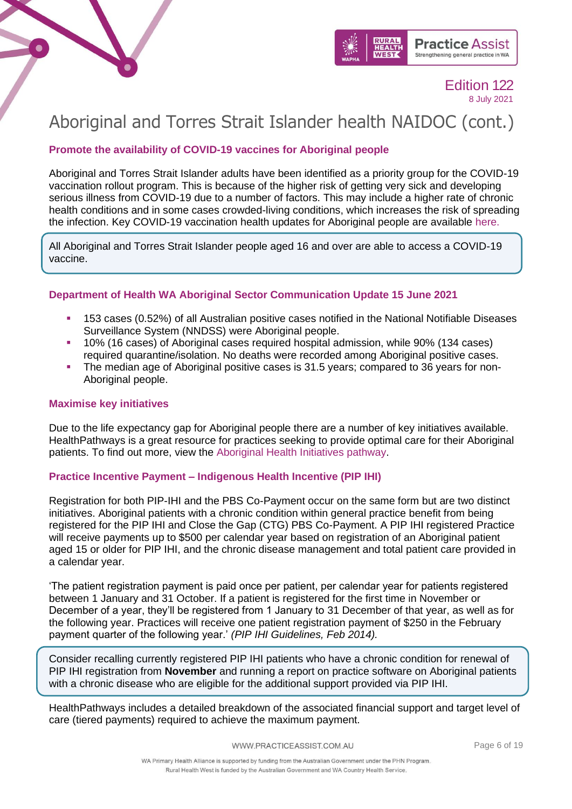



# Aboriginal and Torres Strait Islander health NAIDOC (cont.)

### **Promote the availability of COVID-19 vaccines for Aboriginal people**

Aboriginal and Torres Strait Islander adults have been identified as a priority group for the COVID-19 vaccination rollout program. This is because of the higher risk of getting very sick and developing serious illness from COVID-19 due to a number of factors. This may include a higher rate of chronic health conditions and in some cases crowded-living conditions, which increases the risk of spreading the infection. Key COVID-19 vaccination health updates for Aboriginal people are available [here.](https://www.health.gov.au/resources/collections/covid-19-vaccination-key-health-updates-for-aboriginal-and-torres-strait-islander-communities)

All Aboriginal and Torres Strait Islander people aged 16 and over are able to access a COVID-19 vaccine.

### **Department of Health WA Aboriginal Sector Communication Update 15 June 2021**

- 153 cases (0.52%) of all Australian positive cases notified in the National Notifiable Diseases Surveillance System (NNDSS) were Aboriginal people.
- 10% (16 cases) of Aboriginal cases required hospital admission, while 90% (134 cases) required quarantine/isolation. No deaths were recorded among Aboriginal positive cases.
- The median age of Aboriginal positive cases is 31.5 years; compared to 36 years for non-Aboriginal people.

#### **Maximise key initiatives**

Due to the life expectancy gap for Aboriginal people there are a number of key initiatives available. HealthPathways is a great resource for practices seeking to provide optimal care for their Aboriginal patients. To find out more, view the [Aboriginal Health Initiatives pathway.](https://wa.communityhealthpathways.org/42554.htm)

### **Practice Incentive Payment – Indigenous Health Incentive (PIP IHI)**

Registration for both PIP-IHI and the PBS Co-Payment occur on the same form but are two distinct initiatives. Aboriginal patients with a chronic condition within general practice benefit from being registered for the PIP IHI and Close the Gap (CTG) PBS Co-Payment. A PIP IHI registered Practice will receive payments up to \$500 per calendar year based on registration of an Aboriginal patient aged 15 or older for PIP IHI, and the chronic disease management and total patient care provided in a calendar year.

'The patient registration payment is paid once per patient, per calendar year for patients registered between 1 January and 31 October. If a patient is registered for the first time in November or December of a year, they'll be registered from 1 January to 31 December of that year, as well as for the following year. Practices will receive one patient registration payment of \$250 in the February payment quarter of the following year.' *(PIP IHI Guidelines, Feb 2014).*

Consider recalling currently registered PIP IHI patients who have a chronic condition for renewal of PIP IHI registration from **November** and running a report on practice software on Aboriginal patients with a chronic disease who are eligible for the additional support provided via PIP IHI.

HealthPathways includes a detailed breakdown of the associated financial support and target level of care (tiered payments) required to achieve the maximum payment.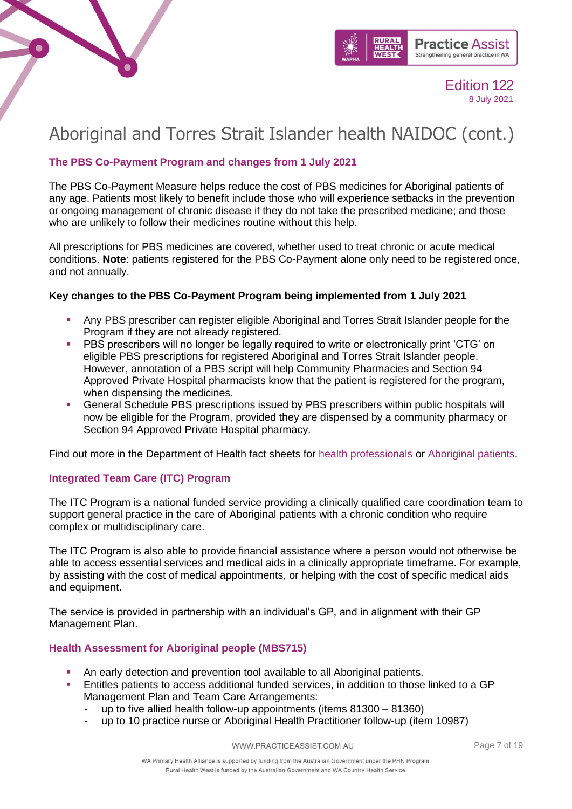



# Aboriginal and Torres Strait Islander health NAIDOC (cont.)

### **The PBS Co-Payment Program and changes from 1 July 2021**

The PBS Co-Payment Measure helps reduce the cost of PBS medicines for Aboriginal patients of any age. Patients most likely to benefit include those who will experience setbacks in the prevention or ongoing management of chronic disease if they do not take the prescribed medicine; and those who are unlikely to follow their medicines routine without this help.

All prescriptions for PBS medicines are covered, whether used to treat chronic or acute medical conditions. **Note**: patients registered for the PBS Co-Payment alone only need to be registered once, and not annually.

### **Key changes to the PBS Co-Payment Program being implemented from 1 July 2021**

- Any PBS prescriber can register eligible Aboriginal and Torres Strait Islander people for the Program if they are not already registered.
- PBS prescribers will no longer be legally required to write or electronically print 'CTG' on eligible PBS prescriptions for registered Aboriginal and Torres Strait Islander people. However, annotation of a PBS script will help Community Pharmacies and Section 94 Approved Private Hospital pharmacists know that the patient is registered for the program, when dispensing the medicines.
- **General Schedule PBS prescriptions issued by PBS prescribers within public hospitals will** now be eligible for the Program, provided they are dispensed by a community pharmacy or Section 94 Approved Private Hospital pharmacy.

Find out more in the Department of Health fact sheets for [health professionals](http://mcusercontent.com/c973db7b85e56f4c3d0eaacee/files/5aafa841-be11-c303-ebf4-cf80655bda38/HP.pdf) or [Aboriginal patients.](https://mcusercontent.com/c973db7b85e56f4c3d0eaacee/files/2e5fd374-89ea-495f-7f37-8aaf0bed492a/people.pdf)

### **Integrated Team Care (ITC) Program**

The ITC Program is a national funded service providing a clinically qualified care coordination team to support general practice in the care of Aboriginal patients with a chronic condition who require complex or multidisciplinary care.

The ITC Program is also able to provide financial assistance where a person would not otherwise be able to access essential services and medical aids in a clinically appropriate timeframe. For example, by assisting with the cost of medical appointments, or helping with the cost of specific medical aids and equipment.

The service is provided in partnership with an individual's GP, and in alignment with their GP Management Plan.

### **Health Assessment for Aboriginal people (MBS715)**

- An early detection and prevention tool available to all Aboriginal patients.
- Entitles patients to access additional funded services, in addition to those linked to a GP Management Plan and Team Care Arrangements:
	- up to five allied health follow-up appointments (items  $81300 81360$ )
	- up to 10 practice nurse or Aboriginal Health Practitioner follow-up (item 10987)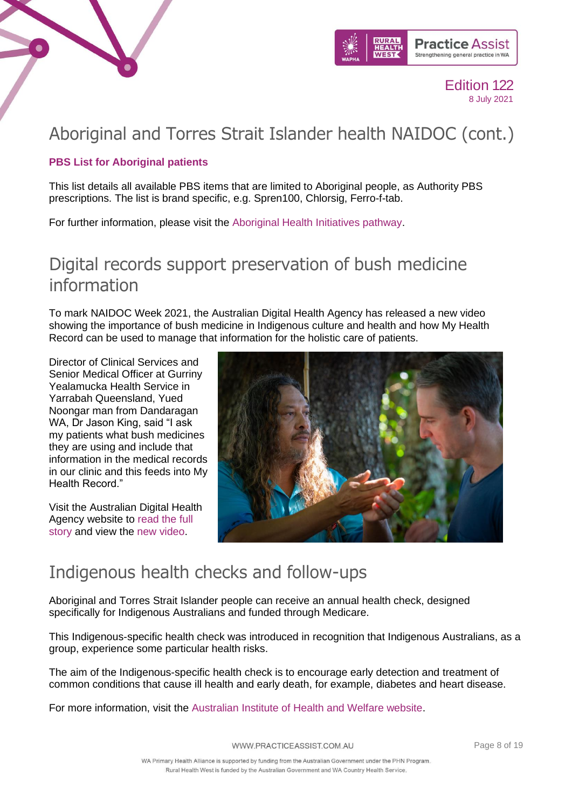



## Aboriginal and Torres Strait Islander health NAIDOC (cont.)

### **PBS List for Aboriginal patients**

This list details all available PBS items that are limited to Aboriginal people, as Authority PBS prescriptions. The list is brand specific, e.g. Spren100, Chlorsig, Ferro-f-tab.

For further information, please visit the [Aboriginal Health Initiatives pathway.](https://wa.communityhealthpathways.org/42554.htm)

### <span id="page-7-0"></span>Digital records support preservation of bush medicine information

To mark NAIDOC Week 2021, the Australian Digital Health Agency has released a new video showing the importance of bush medicine in Indigenous culture and health and how My Health Record can be used to manage that information for the holistic care of patients.

Director of Clinical Services and Senior Medical Officer at Gurriny Yealamucka Health Service in Yarrabah Queensland, Yued Noongar man from Dandaragan WA, Dr Jason King, said "I ask my patients what bush medicines they are using and include that information in the medical records in our clinic and this feeds into My Health Record."

Visit the Australian Digital Health Agency website to [read the full](https://www.digitalhealth.gov.au/newsroom/media-releases/digital-records-support-preservation-of-bush-medicine-information)  [story](https://www.digitalhealth.gov.au/newsroom/media-releases/digital-records-support-preservation-of-bush-medicine-information) and view the [new video.](https://youtu.be/0f91aLHbU2U)



### <span id="page-7-1"></span>Indigenous health checks and follow-ups

Aboriginal and Torres Strait Islander people can receive an annual health check, designed specifically for Indigenous Australians and funded through Medicare.

This Indigenous-specific health check was introduced in recognition that Indigenous Australians, as a group, experience some particular health risks.

The aim of the Indigenous-specific health check is to encourage early detection and treatment of common conditions that cause ill health and early death, for example, diabetes and heart disease.

For more information, visit the [Australian Institute of Health and Welfare website.](https://www.aihw.gov.au/reports/indigenous-australians/indigenous-health-checks-follow-ups/contents/overview)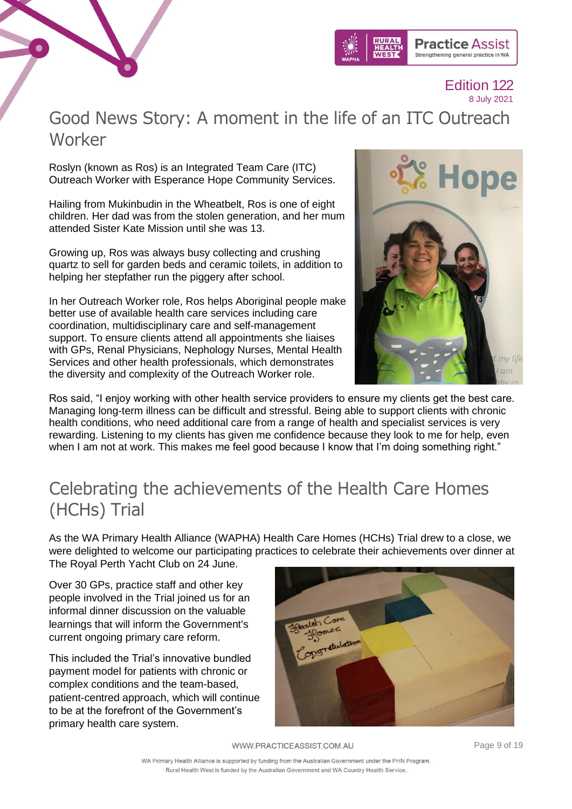



### <span id="page-8-0"></span>Good News Story: A moment in the life of an ITC Outreach Worker

Roslyn (known as Ros) is an Integrated Team Care (ITC) Outreach Worker with Esperance Hope Community Services.

Hailing from Mukinbudin in the Wheatbelt, Ros is one of eight children. Her dad was from the stolen generation, and her mum attended Sister Kate Mission until she was 13.

Growing up, Ros was always busy collecting and crushing quartz to sell for garden beds and ceramic toilets, in addition to helping her stepfather run the piggery after school.

In her Outreach Worker role, Ros helps Aboriginal people make better use of available health care services including care coordination, multidisciplinary care and self-management support. To ensure clients attend all appointments she liaises with GPs, Renal Physicians, Nephology Nurses, Mental Health Services and other health professionals, which demonstrates the diversity and complexity of the Outreach Worker role.



Ros said, "I enjoy working with other health service providers to ensure my clients get the best care. Managing long-term illness can be difficult and stressful. Being able to support clients with chronic health conditions, who need additional care from a range of health and specialist services is very rewarding. Listening to my clients has given me confidence because they look to me for help, even when I am not at work. This makes me feel good because I know that I'm doing something right."

# <span id="page-8-1"></span>Celebrating the achievements of the Health Care Homes (HCHs) Trial

As the WA Primary Health Alliance (WAPHA) Health Care Homes (HCHs) Trial drew to a close, we were delighted to welcome our participating practices to celebrate their achievements over dinner at The Royal Perth Yacht Club on 24 June.

Over 30 GPs, practice staff and other key people involved in the Trial joined us for an informal dinner discussion on the valuable learnings that will inform the Government's current ongoing primary care reform.

This included the Trial's innovative bundled payment model for patients with chronic or complex conditions and the team-based, patient-centred approach, which will continue to be at the forefront of the Government's primary health care system.



WWW.PRACTICEASSIST.COM.AU

Page 9 of 19

WA Primary Health Alliance is supported by funding from the Australian Government under the PHN Program. Rural Health West is funded by the Australian Government and WA Country Health Service.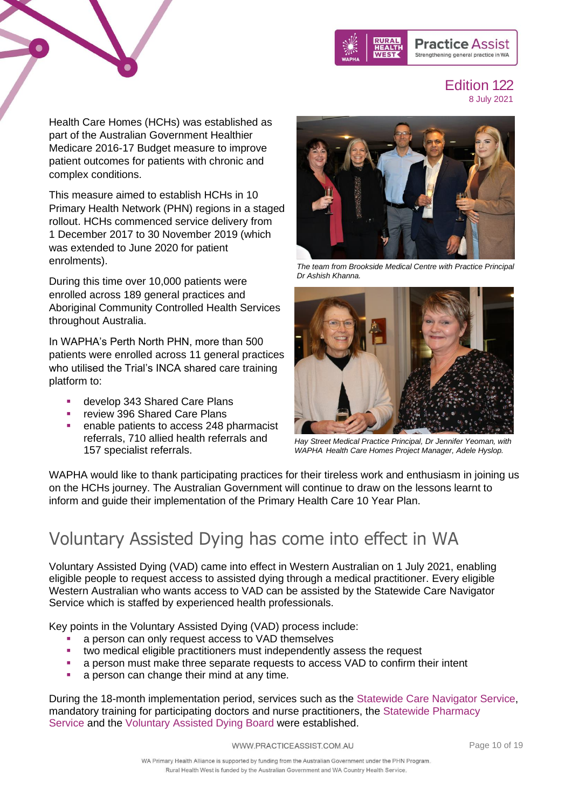

Health Care Homes (HCHs) was established as part of the Australian Government Healthier Medicare 2016-17 Budget measure to improve patient outcomes for patients with chronic and complex conditions.

This measure aimed to establish HCHs in 10 Primary Health Network (PHN) regions in a staged rollout. HCHs commenced service delivery from 1 December 2017 to 30 November 2019 (which was extended to June 2020 for patient enrolments).

During this time over 10,000 patients were enrolled across 189 general practices and Aboriginal Community Controlled Health Services throughout Australia.

In WAPHA's Perth North PHN, more than 500 patients were enrolled across 11 general practices who utilised the Trial's INCA shared care training platform to:

- develop 343 Shared Care Plans
- review 396 Shared Care Plans
- enable patients to access 248 pharmacist referrals, 710 allied health referrals and 157 specialist referrals.



*The team from Brookside Medical Centre with Practice Principal Dr Ashish Khanna.*



*Hay Street Medical Practice Principal, Dr Jennifer Yeoman, with WAPHA Health Care Homes Project Manager, Adele Hyslop.*

WAPHA would like to thank participating practices for their tireless work and enthusiasm in joining us on the HCHs journey. The Australian Government will continue to draw on the lessons learnt to inform and guide their implementation of the Primary Health Care 10 Year Plan.

# <span id="page-9-0"></span>Voluntary Assisted Dying has come into effect in WA

Voluntary Assisted Dying (VAD) came into effect in Western Australian on 1 July 2021, enabling eligible people to request access to assisted dying through a medical practitioner. Every eligible Western Australian who wants access to VAD can be assisted by the Statewide Care Navigator Service which is staffed by experienced health professionals.

Key points in the Voluntary Assisted Dying (VAD) process include:

- a person can only request access to VAD themselves
- two medical eligible practitioners must independently assess the request
- a person must make three separate requests to access VAD to confirm their intent
- a person can change their mind at any time.

During the 18-month implementation period, services such as the [Statewide Care Navigator Service,](https://linkprotect.cudasvc.com/url?a=https%3a%2f%2fhealth.us14.list-manage.com%2ftrack%2fclick%3fu%3d8ec8704499f9955107930f649%26id%3d5a359a97af%26e%3d5126f019dd&c=E,1,ces19sER0MXweQIbD2RS4xtiJK9SnHCU1_lBMv7FTtesH_hB6ydwIljBsTrAbLLzDbj9jx2QnL71VhsCDcmjyicN1lVamHNShV3SrqekIriscdjw5ZpFgnSYOQW9&typo=1) mandatory training for participating doctors and nurse practitioners, the [Statewide Pharmacy](https://linkprotect.cudasvc.com/url?a=https%3a%2f%2fhealth.us14.list-manage.com%2ftrack%2fclick%3fu%3d8ec8704499f9955107930f649%26id%3d5e28ddd504%26e%3d5126f019dd&c=E,1,wIRkYooVqWjq-F2pl5C1WasIoyP_KNXoHT0tfOXpbGL6GTj_kxaxq6gm48kH6sojcOIYW8qZB7ItXv5t5WrfdjLrjUakZoPR7gyIHV81wbv7u4Vd&typo=1)  [Service](https://linkprotect.cudasvc.com/url?a=https%3a%2f%2fhealth.us14.list-manage.com%2ftrack%2fclick%3fu%3d8ec8704499f9955107930f649%26id%3d5e28ddd504%26e%3d5126f019dd&c=E,1,wIRkYooVqWjq-F2pl5C1WasIoyP_KNXoHT0tfOXpbGL6GTj_kxaxq6gm48kH6sojcOIYW8qZB7ItXv5t5WrfdjLrjUakZoPR7gyIHV81wbv7u4Vd&typo=1) and the [Voluntary Assisted Dying Board](https://linkprotect.cudasvc.com/url?a=https%3a%2f%2fhealth.us14.list-manage.com%2ftrack%2fclick%3fu%3d8ec8704499f9955107930f649%26id%3d706ed48958%26e%3d5126f019dd&c=E,1,nEodAWunjY8Y4-CC5nzGGej9elE_EioTID_Vp7c7JiXUMsw04TqEP_uh3MHoUxZwS926F_sMHNu8VcwtB3DFBT5rI7TWtgi9sPvtg4Fc99Xhzm8,&typo=1) were established.

WWW.PRACTICEASSIST.COM.AU

Page 10 of 19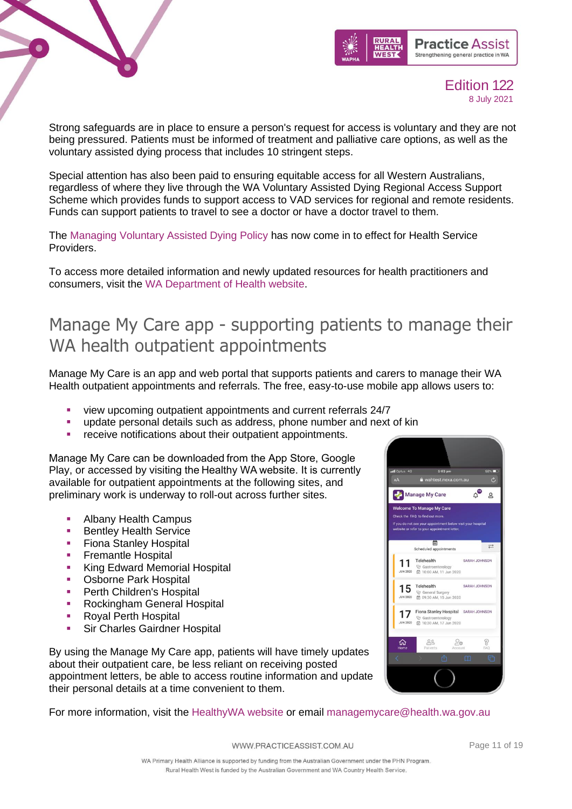



Strong safeguards are in place to ensure a person's request for access is voluntary and they are not being pressured. Patients must be informed of treatment and palliative care options, as well as the voluntary assisted dying process that includes 10 stringent steps.

Special attention has also been paid to ensuring equitable access for all Western Australians, regardless of where they live through the WA Voluntary Assisted Dying Regional Access Support Scheme which provides funds to support access to VAD services for regional and remote residents. Funds can support patients to travel to see a doctor or have a doctor travel to them.

The [Managing Voluntary Assisted Dying Policy](https://linkprotect.cudasvc.com/url?a=https%3a%2f%2fhealth.us14.list-manage.com%2ftrack%2fclick%3fu%3d8ec8704499f9955107930f649%26id%3de89a0e11a5%26e%3d5126f019dd&c=E,1,JSoMtm9sJNbA1_jBAd7U4r3ckmmWENXgCd8yRYwyraae4Q84sP6sTABjtvlhh2CmZwqx8Jcp7NZ1fn3S0U7LkBlJ1Jyq5EqhGbWKflljjr65XstaeP6m&typo=1) has now come in to effect for Health Service Providers.

To access more detailed information and newly updated resources for health practitioners and consumers, visit the [WA Department of Health website.](https://linkprotect.cudasvc.com/url?a=https%3a%2f%2fhealth.us14.list-manage.com%2ftrack%2fclick%3fu%3d8ec8704499f9955107930f649%26id%3df5058a88c7%26e%3d5126f019dd&c=E,1,WO4kvH3flP0Fy97Ozjy3AP8kZTWy14pgmRf8hdToXhW6ovELhA0XPj63jRTQgE8if5vgxC6eWUEjifMWrkKbFKGAt383m4Zu7Rco69okp33R1mdq&typo=1)

### <span id="page-10-0"></span>Manage My Care app - supporting patients to manage their WA health outpatient appointments

Manage My Care is an app and web portal that supports patients and carers to manage their WA Health outpatient appointments and referrals. The free, easy-to-use mobile app allows users to:

- view upcoming outpatient appointments and current referrals 24/7
- update personal details such as address, phone number and next of kin
- receive notifications about their outpatient appointments.

Manage My Care can be downloaded from the App Store, Google Play, or accessed by visiting the Healthy WA website. It is currently available for outpatient appointments at the following sites, and preliminary work is underway to roll-out across further sites.

- **Albany Health Campus**
- **Bentley Health Service**
- **Fiona Stanley Hospital**
- **Exemantle Hospital**
- **EXAM** King Edward Memorial Hospital
- Osborne Park Hospital
- **•** Perth Children's Hospital
- **Rockingham General Hospital**
- Royal Perth Hospital
- **Sir Charles Gairdner Hospital**

By using the Manage My Care app, patients will have timely updates about their outpatient care, be less reliant on receiving posted appointment letters, be able to access routine information and update their personal details at a time convenient to them.

For more information, visit the [HealthyWA website](https://www.healthywa.wa.gov.au/managemycare) or email [managemycare@health.wa.gov.au](mailto:managemycare@health.wa.gov.au)

 $\Delta^\bullet$ Manage My Care  $\Omega$ elcome To Manage My Care **FAO** to find out more 茴  $\Rightarrow$ Scheduled ann Telehealth SARAH JOHNSON 11 VJ Gastroenterology<br>図 10:00 AM, 11 Jun 2020  $15$  Telehealth SARAH JOHNSON VJ General Surgery<br>□ 09:30 AM, 15 Jun 2020 17 Fiona Stanley Hospital SARAH JOHNSON ♡ Gastroenterology<br>它 10:30 AM, 17 Jun 2020  $\circledS$  $20$ ⋒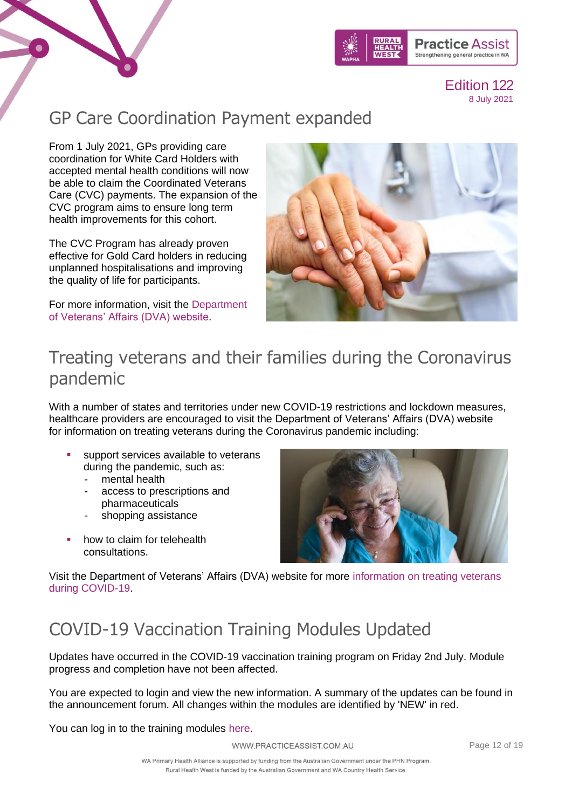



# <span id="page-11-0"></span>GP Care Coordination Payment expanded

From 1 July 2021, GPs providing care coordination for White Card Holders with accepted mental health conditions will now be able to claim the Coordinated Veterans Care (CVC) payments. The expansion of the CVC program aims to ensure long term health improvements for this cohort.

The CVC Program has already proven effective for Gold Card holders in reducing unplanned hospitalisations and improving the quality of life for participants.

For more information, visit the [Department](https://www.dva.gov.au/providers/provider-news/gp-care-coordination-payment-expanded)  [of Veterans' Affairs \(DVA\) website.](https://www.dva.gov.au/providers/provider-news/gp-care-coordination-payment-expanded)



### <span id="page-11-1"></span>Treating veterans and their families during the Coronavirus pandemic

With a number of states and territories under new COVID-19 restrictions and lockdown measures, healthcare providers are encouraged to visit the Department of Veterans' Affairs (DVA) website for information on treating veterans during the Coronavirus pandemic including:

- support services available to veterans during the pandemic, such as:
	- mental health
	- access to prescriptions and pharmaceuticals
	- shopping assistance
- how to claim for telehealth consultations.



Visit the Department of Veterans' Affairs (DVA) website for more [information on treating veterans](https://www.dva.gov.au/providers/provider-news/covid-19-information-healthcare-providers)  [during COVID-19.](https://www.dva.gov.au/providers/provider-news/covid-19-information-healthcare-providers)

# <span id="page-11-2"></span>COVID-19 Vaccination Training Modules Updated

Updates have occurred in the COVID-19 vaccination training program on Friday 2nd July. Module progress and completion have not been affected.

You are expected to login and view the new information. A summary of the updates can be found in the announcement forum. All changes within the modules are identified by 'NEW' in red.

You can log in to the training modules [here.](https://covid19vaccinationtraining.org.au/login/index.php)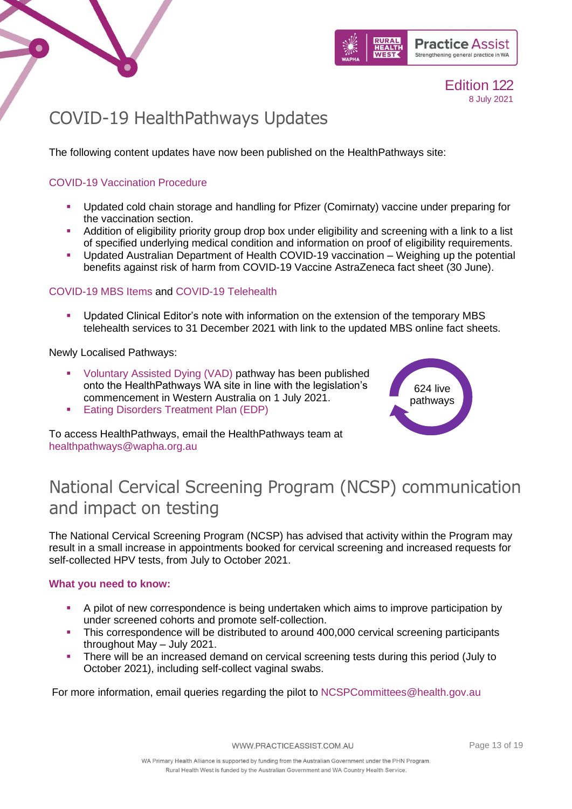

Edition 122

8 July 2021

# <span id="page-12-0"></span>COVID-19 HealthPathways Updates

The following content updates have now been published on the HealthPathways site:

### [COVID-19 Vaccination Procedure](https://linkprotect.cudasvc.com/url?a=https%3a%2f%2fwapha.us11.list-manage.com%2ftrack%2fclick%3fu%3dc973db7b85e56f4c3d0eaacee%26id%3d0543c38611%26e%3d02c79a9d9f&c=E,1,B69GOm1tEn9nZtcTYCCRwwelckGUNqJ53u9NU3DV2ul3ZIWpehmy1dunKQkQM9WsTZZRQmQeLUi4E04bTDSfF6tazk7T8UJoiBffRZJDEvOraNMziA,,&typo=1)

 $\bullet$ 

- Updated cold chain storage and handling for Pfizer (Comirnaty) vaccine under preparing for the vaccination section.
- **•** Addition of eligibility priority group drop box under eligibility and screening with a link to a list of specified underlying medical condition and information on proof of eligibility requirements.
- Updated Australian Department of Health COVID-19 vaccination Weighing up the potential benefits against risk of harm from COVID-19 Vaccine AstraZeneca fact sheet (30 June).

### [COVID-19 MBS Items](https://linkprotect.cudasvc.com/url?a=https%3a%2f%2fwapha.us11.list-manage.com%2ftrack%2fclick%3fu%3dc973db7b85e56f4c3d0eaacee%26id%3d6016ae491a%26e%3d02c79a9d9f&c=E,1,umCqkTYIddGlBRW_9WuM_2oSux6OuNp1feXAzIrp00564BtXH8-xySLCQ3BERrML5SLkaXyQnVg62VyjZFkB5VZuuAX_nBGWAtBcS8Imi8LYmS0CUH8,&typo=1) and [COVID-19 Telehealth](https://linkprotect.cudasvc.com/url?a=https%3a%2f%2fwapha.us11.list-manage.com%2ftrack%2fclick%3fu%3dc973db7b85e56f4c3d0eaacee%26id%3d775b683bff%26e%3d02c79a9d9f&c=E,1,MKj8XtknM4e1QJo4MaRUimTi7Adz0BEkumGAvGzaKbgqq9U00-h_Jja7zuf94v94Z8z966J3y1HLvzSZ8QeQv7LYu0sbQBaeNJ8auctMjZdO09M-xoc,&typo=1)

Updated Clinical Editor's note with information on the extension of the temporary MBS telehealth services to 31 December 2021 with link to the updated MBS online fact sheets.

Newly Localised Pathways:

- [Voluntary Assisted Dying \(VAD\)](https://wa.communityhealthpathways.org/613209.htm) pathway has been published onto the HealthPathways WA site in line with the legislation's commencement in Western Australia on 1 July 2021.
- **[Eating Disorders Treatment Plan \(EDP\)](https://wa.communityhealthpathways.org/689093.htm)**



To access HealthPathways, email the HealthPathways team at [healthpathways@wapha.org.au](mailto:healthpathways@wapha.org.au)

# <span id="page-12-1"></span>National Cervical Screening Program (NCSP) communication and impact on testing

The National Cervical Screening Program (NCSP) has advised that activity within the Program may result in a small increase in appointments booked for cervical screening and increased requests for self-collected HPV tests, from July to October 2021.

### **What you need to know:**

- A pilot of new correspondence is being undertaken which aims to improve participation by under screened cohorts and promote self-collection.
- This correspondence will be distributed to around 400,000 cervical screening participants throughout May – July 2021.
- **There will be an increased demand on cervical screening tests during this period (July to** October 2021), including self-collect vaginal swabs.

For more information, email queries regarding the pilot to [NCSPCommittees@health.gov.au](mailto:NCSPCommittees@health.gov.au)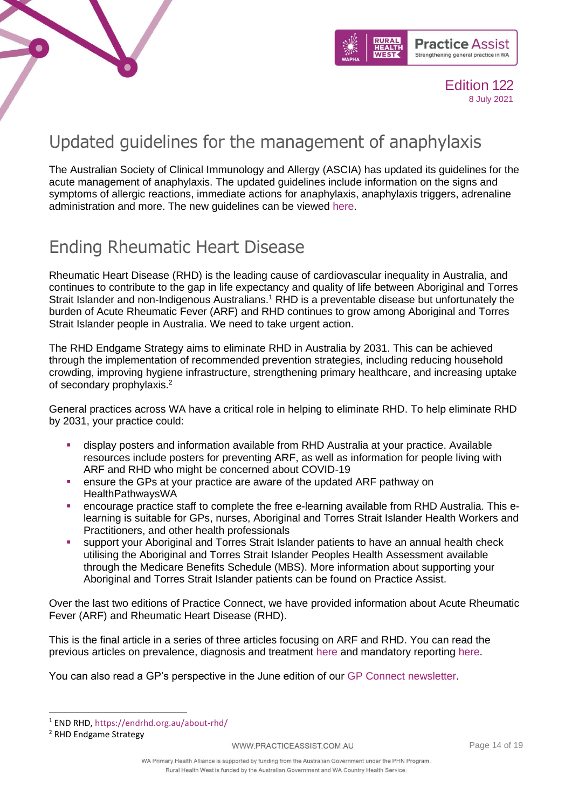



# <span id="page-13-0"></span>Updated guidelines for the management of anaphylaxis

The Australian Society of Clinical Immunology and Allergy (ASCIA) has updated its guidelines for the acute management of anaphylaxis. The updated guidelines include information on the signs and symptoms of allergic reactions, immediate actions for anaphylaxis, anaphylaxis triggers, adrenaline administration and more. The new guidelines can be viewed [here.](https://www.allergy.org.au/hp/papers/acute-management-of-anaphylaxis-guidelines)

# <span id="page-13-1"></span>Ending Rheumatic Heart Disease

Rheumatic Heart Disease (RHD) is the leading cause of cardiovascular inequality in Australia, and continues to contribute to the gap in life expectancy and quality of life between Aboriginal and Torres Strait Islander and non-Indigenous Australians.<sup>1</sup> RHD is a preventable disease but unfortunately the burden of Acute Rheumatic Fever (ARF) and RHD continues to grow among Aboriginal and Torres Strait Islander people in Australia. We need to take urgent action.

The RHD Endgame Strategy aims to eliminate RHD in Australia by 2031. This can be achieved through the implementation of recommended prevention strategies, including reducing household crowding, improving hygiene infrastructure, strengthening primary healthcare, and increasing uptake of secondary prophylaxis.<sup>2</sup>

General practices across WA have a critical role in helping to eliminate RHD. To help eliminate RHD by 2031, your practice could:

- display posters and information available from RHD Australia at your practice. Available [resources](https://www.rhdaustralia.org.au/resources-search?search_api_views_fulltext=&field_field_resource_terms%5B0%5D=62) include posters for preventing ARF, as well as information for people living with ARF and RHD who might be concerned about COVID-19
- **ensure the GPs at your practice are aware of the updated ARF pathway on** [HealthPathwaysWA](https://wa.communityhealthpathways.org/)
- **•** encourage practice staff to complete the [free e-learning](https://www.rhdaustralia.org.au/e-learning-discussion-forum) available from RHD Australia. This elearning is suitable for GPs, nurses, Aboriginal and Torres Strait Islander Health Workers and Practitioners, and other health professionals
- support your Aboriginal and Torres Strait Islander patients to have an annual health check utilising the Aboriginal and Torres Strait Islander Peoples Health Assessment available through the Medicare Benefits Schedule (MBS). More information about supporting your Aboriginal and Torres Strait Islander patients can be found on [Practice Assist.](https://www.practiceassist.com.au/The-Tool-Kit/AboriginalHealth)

Over the last two editions of Practice Connect, we have provided information about Acute Rheumatic Fever (ARF) and Rheumatic Heart Disease (RHD).

This is the final article in a series of three articles focusing on ARF and RHD. You can read the previous articles on prevalence, diagnosis and treatment [here](https://www.practiceassist.com.au/About-PracticeAssist/News-and-Updates/Practice-Connect-120#rheumatic) and mandatory reporting [here.](https://www.practiceassist.com.au/About-PracticeAssist/News-and-Updates/Practice-Connect-121#rhd)

You can also read a GP's perspective in the June edition of our [GP Connect newsletter.](https://news.wapha.org.au/assets/GP-Connect-June-2021.pdf)

<sup>1</sup> END RHD,<https://endrhd.org.au/about-rhd/>

<sup>2</sup> RHD Endgame Strategy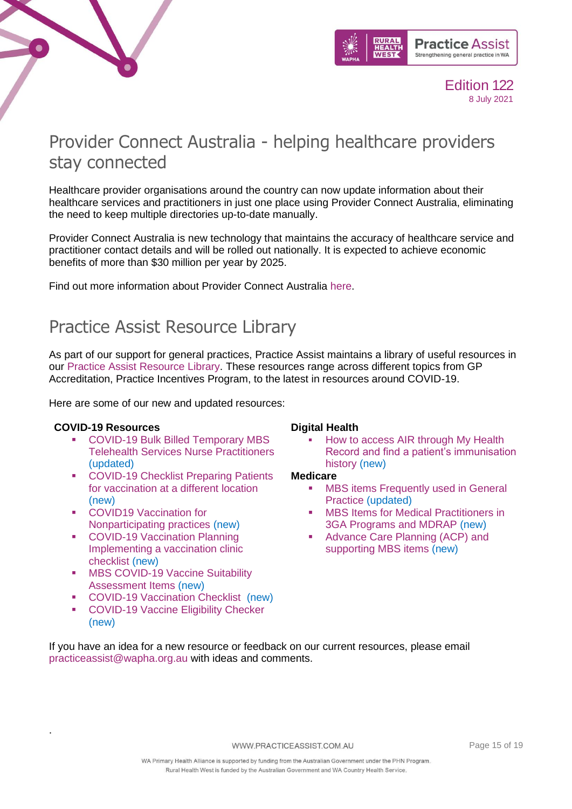



### <span id="page-14-0"></span>Provider Connect Australia - helping healthcare providers stay connected

Healthcare provider organisations around the country can now update information about their healthcare services and practitioners in just one place using Provider Connect Australia, eliminating the need to keep multiple directories up-to-date manually.

Provider Connect Australia is new technology that maintains the accuracy of healthcare service and practitioner contact details and will be rolled out nationally. It is expected to achieve economic benefits of more than \$30 million per year by 2025.

Find out more information about Provider Connect Australia [here.](https://www.practiceassist.com.au/PracticeAssist/media/Practice-Connect/Provider-Connect-Australia-Media-Release.PDF)

### <span id="page-14-1"></span>Practice Assist Resource Library

As part of our support for general practices, Practice Assist maintains a library of useful resources in our [Practice Assist Resource Library.](https://www.practiceassist.com.au/Resource-Library) These resources range across different topics from GP Accreditation, Practice Incentives Program, to the latest in resources around COVID-19.

Here are some of our new and updated resources:

#### **COVID-19 Resources**

.

- COVID-19 Bulk Billed Temporary MBS [Telehealth Services Nurse Practitioners](https://www.practiceassist.com.au/PracticeAssist/media/ResourceLibrary/210701-Medicare_Temporary-MBS-COVID-19-Telehealth-Services-Nurse-Practitioners.pdf) (updated)
- COVID-19 Checklist Preparing Patients [for vaccination at a different location](https://www.practiceassist.com.au/PracticeAssist/media/ResourceLibrary/210326-WA-COVID-19-Checklist-Preparing-patients-for-vaccination-at-a-different-location.pdf) (new)
- COVID19 Vaccination for [Nonparticipating practices](https://www.practiceassist.com.au/PracticeAssist/media/ResourceLibrary/COVID19-Vaccination-for-Non-participating-practices-210325.pdf) (new)
- COVID-19 Vaccination Planning [Implementing a vaccination clinic](https://www.practiceassist.com.au/PracticeAssist/media/Coronavirus-(COVID-19)/WA-COVID-19-Vaccination-Planning-Checklist-210323.pdf)  [checklist](https://www.practiceassist.com.au/PracticeAssist/media/Coronavirus-(COVID-19)/WA-COVID-19-Vaccination-Planning-Checklist-210323.pdf) (new)
- MBS COVID-19 Vaccine Suitability [Assessment Items](https://www.practiceassist.com.au/PracticeAssist/media/ResourceLibrary/MBS-COVID-19-Vaccine-suitability-Assessment-Service-Factsheet-210316.pdf) (new)
- [COVID-19 Vaccination Checklist](https://www.practiceassist.com.au/PracticeAssist/media/ResourceLibrary/WA-COVID-19-Vaccination-Checklist-210302.pdf) (new)
- [COVID-19 Vaccine Eligibility Checker](https://covid-vaccine.healthdirect.gov.au/eligibility) (new)

### **Digital Health**

How to access AIR through My Health [Record and find a patient's immunisation](https://www.practiceassist.com.au/PracticeAssist/media/ResourceLibrary/Digital%20Health/Accessing-AIR-through-MHR-Fact-Sheet-V2-210413.pdf)  [history](https://www.practiceassist.com.au/PracticeAssist/media/ResourceLibrary/Digital%20Health/Accessing-AIR-through-MHR-Fact-Sheet-V2-210413.pdf) (new)

### **Medicare**

- **MBS items Frequently used in General** [Practice](https://www.practiceassist.com.au/PracticeAssist/media/ResourceLibrary/Medicare%20Benefits%20Schedule/Medicare-MBS-Quick-Guide-July-2021.pdf) (updated)
- MBS Items for Medical Practitioners in [3GA Programs and MDRAP](https://www.practiceassist.com.au/PracticeAssist/media/ResourceLibrary/Medicare%20Benefits%20Schedule/MBS-Items-for-3GA-Programs-and-MDRAP-Fact-Sheet.pdf) (new)
- Advance Care Planning (ACP) and [supporting MBS items](https://www.practiceassist.com.au/PracticeAssist/media/ResourceLibrary/Medicare%20Benefits%20Schedule/Advance-Care-Planning-Fact-Sheet-V1-210514.pdf) (new)

If you have an idea for a new resource or feedback on our current resources, please email [practiceassist@wapha.org.au](mailto:practiceassist@wapha.org.au) with ideas and comments.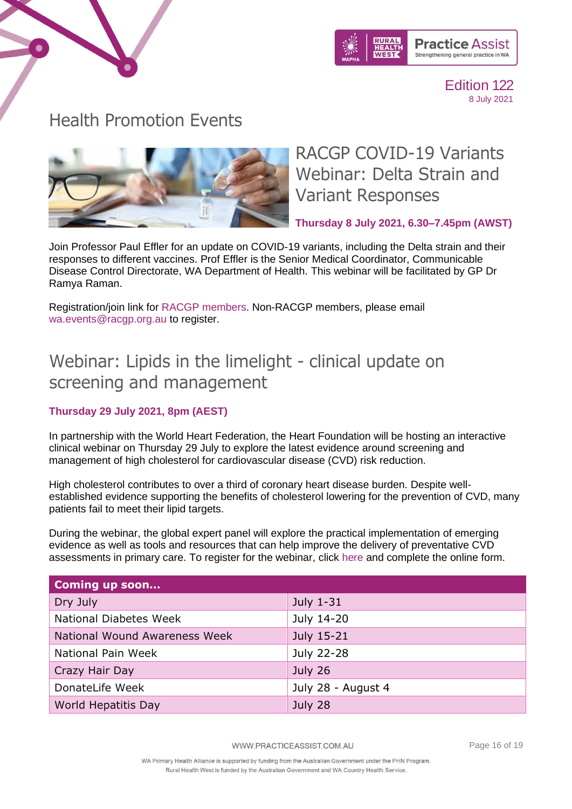



### <span id="page-15-0"></span>Health Promotion Events



RACGP COVID-19 Variants Webinar: Delta Strain and Variant Responses

**Thursday 8 July 2021, 6.30–7.45pm (AWST)**

Join Professor Paul Effler for an update on COVID-19 variants, including the Delta strain and their responses to different vaccines. Prof Effler is the Senior Medical Coordinator, Communicable Disease Control Directorate, WA Department of Health. This webinar will be facilitated by GP Dr Ramya Raman.

Registration/join link for [RACGP members.](https://www1.racgp.org.au/events/booking/registration?eventid=WA2122_14) Non-RACGP members, please email [wa.events@racgp.org.au](mailto:wa.events@racgp.org.au) to register.

### Webinar: Lipids in the limelight - clinical update on screening and management

### **Thursday 29 July 2021, 8pm (AEST)**

In partnership with the World Heart Federation, the Heart Foundation will be hosting an interactive clinical webinar on Thursday 29 July to explore the latest evidence around screening and management of high cholesterol for cardiovascular disease (CVD) risk reduction.

High cholesterol contributes to over a third of coronary heart disease burden. Despite wellestablished evidence supporting the benefits of cholesterol lowering for the prevention of CVD, many patients fail to meet their lipid targets.

During the webinar, the global expert panel will explore the practical implementation of emerging evidence as well as tools and resources that can help improve the delivery of preventative CVD assessments in primary care. To register for the webinar, click [here](https://heartfoundation-au.zoom.us/webinar/register/4516244193236/WN_qLI9r-CtSzSGrPU7_yJOqw) and complete the online form.

| <b>Coming up soon</b>         |                    |
|-------------------------------|--------------------|
| Dry July                      | July 1-31          |
| National Diabetes Week        | July 14-20         |
| National Wound Awareness Week | July 15-21         |
| National Pain Week            | July 22-28         |
| Crazy Hair Day                | July 26            |
| DonateLife Week               | July 28 - August 4 |
| World Hepatitis Day           | July 28            |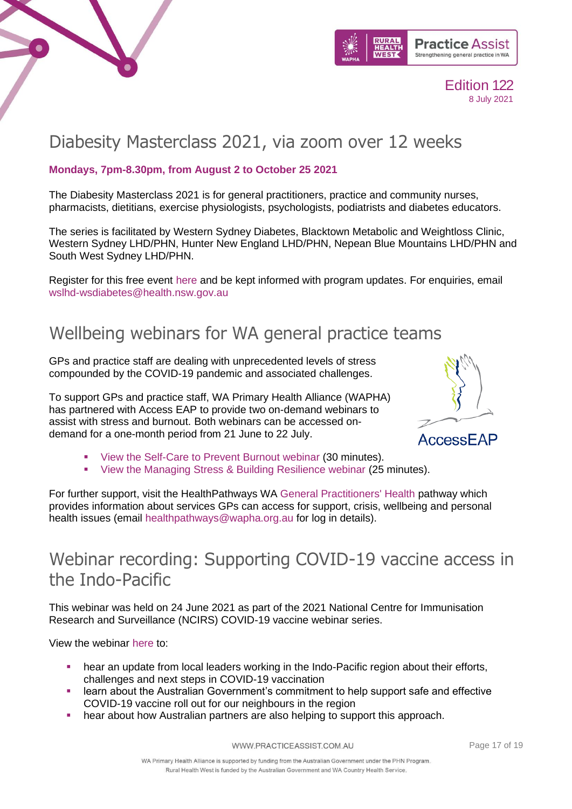



# Diabesity Masterclass 2021, via zoom over 12 weeks

### **Mondays, 7pm-8.30pm, from August 2 to October 25 2021**

The Diabesity Masterclass 2021 is for general practitioners, practice and community nurses, pharmacists, dietitians, exercise physiologists, psychologists, podiatrists and diabetes educators.

The series is facilitated by Western Sydney Diabetes, Blacktown Metabolic and Weightloss Clinic, Western Sydney LHD/PHN, Hunter New England LHD/PHN, Nepean Blue Mountains LHD/PHN and South West Sydney LHD/PHN.

Register for this free event [here](https://rego.interact.technology/diabesitymasterclass2021/#/main) and be kept informed with program updates. For enquiries, email [wslhd-wsdiabetes@health.nsw.gov.au](mailto:WSLHD-WSDiabetes@health.nsw.gov.au)

### Wellbeing webinars for WA general practice teams

GPs and practice staff are dealing with unprecedented levels of stress compounded by the COVID-19 pandemic and associated challenges.

To support GPs and practice staff, WA Primary Health Alliance (WAPHA) has partnered with Access EAP to provide two on-demand webinars to assist with stress and burnout. Both webinars can be accessed ondemand for a one-month period from 21 June to 22 July.



- [View the Self-Care to Prevent Burnout webinar](https://register.gotowebinar.com/recording/1466199167464483841) (30 minutes).
- [View the Managing Stress & Building Resilience webinar](https://register.gotowebinar.com/recording/587302348645387522) (25 minutes).

For further support, visit the HealthPathways WA [General Practitioners' Health](https://wa.communityhealthpathways.org/130566.htm) pathway which provides information about services GPs can access for support, crisis, wellbeing and personal health issues (email [healthpathways@wapha.org.au](mailto:healthpathways@wapha.org.au) for log in details).

### Webinar recording: Supporting COVID-19 vaccine access in the Indo-Pacific

This webinar was held on 24 June 2021 as part of the 2021 National Centre for Immunisation Research and Surveillance (NCIRS) COVID-19 vaccine webinar series.

View the webinar [here](https://www.ncirs.org.au/ncirs-seminarwebinar-series/24062021-supporting-covid-19-vaccine-access-indo-pacific?utm_medium=email&utm_campaign=Webinar%20video%20now%20available%20Supporting%20COVID-19%20vaccine%20access%20in%20the%20Indo-Pacific&utm_content=Webinar%20video%20now%20available%20Supporting%20COVID-19%20vaccine%20access%20in%20the%20Indo-Pacific+CID_4b0946b1c80d6290e8c630b4897bb50a&utm_source=eDM&utm_term=Watch%20now) to:

- hear an update from local leaders working in the Indo-Pacific region about their efforts, challenges and next steps in COVID-19 vaccination
- learn about the Australian Government's commitment to help support safe and effective COVID-19 vaccine roll out for our neighbours in the region
- hear about how Australian partners are also helping to support this approach.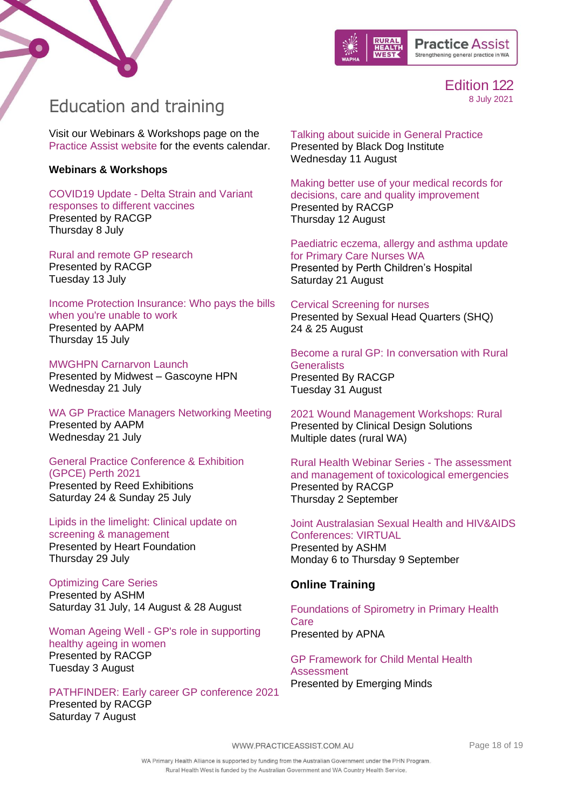



### <span id="page-17-0"></span>Education and training

Visit our Webinars & Workshops page on the [Practice Assist website](https://www.practiceassist.com.au/Professional-Education/Upcoming-webinars-and-workshops) for the events calendar.

#### **Webinars & Workshops**

COVID19 Update - [Delta Strain and Variant](https://www.racgp.org.au/racgp-digital-events-calendar/online-event-items/webinars/covid-19-update-delta-strain-and-variant-responses)  responses [to different vaccines](https://www.racgp.org.au/racgp-digital-events-calendar/online-event-items/webinars/covid-19-update-delta-strain-and-variant-responses) Presented by RACGP Thursday 8 July

[Rural and remote GP research](https://www.racgp.org.au/racgp-digital-events-calendar/online-event-items/rural-and-remote-gp-research) Presented by RACGP Tuesday 13 July

[Income Protection Insurance: Who pays the bills](https://www.aapm.org.au/Education-and-Networking/Book-Event/SelectedEventId/2085)  [when you're unable to work](https://www.aapm.org.au/Education-and-Networking/Book-Event/SelectedEventId/2085) Presented by AAPM Thursday 15 July

[MWGHPN Carnarvon Launch](https://ruralhealthwest.eventsair.com/mwghpn-carnarvon-launch/register/Site/Register) Presented by Midwest – Gascoyne HPN Wednesday 21 July

[WA GP Practice Managers Networking Meeting](https://www.aapm.org.au/Education-and-Networking/Book-Event/SelectedEventId/2082) Presented by AAPM Wednesday 21 July

[General Practice Conference & Exhibition](https://www.emedevents.com/c/medical-conferences-2021/general-practice-conference-exhibition-gpce-perth-2021)  [\(GPCE\) Perth 2021](https://www.emedevents.com/c/medical-conferences-2021/general-practice-conference-exhibition-gpce-perth-2021) Presented by Reed Exhibitions Saturday 24 & Sunday 25 July

[Lipids in the limelight: Clinical update on](https://heartfoundation-au.zoom.us/webinar/register/4516244193236/WN_qLI9r-CtSzSGrPU7_yJOqw)  [screening & management](https://heartfoundation-au.zoom.us/webinar/register/4516244193236/WN_qLI9r-CtSzSGrPU7_yJOqw) Presented by Heart Foundation Thursday 29 July

[Optimizing Care Series](https://ashm.eventsair.com/optimising-care-series-2021/registration-site/Site/Register)  Presented by ASHM Saturday 31 July, 14 August & 28 August

Woman Ageing Well - [GP's role in supporting](https://www.racgp.org.au/racgp-digital-events-calendar/online-event-items/webinars/women-ageing-well-gps-role-in-supporting-healthy-a)  [healthy ageing in women](https://www.racgp.org.au/racgp-digital-events-calendar/online-event-items/webinars/women-ageing-well-gps-role-in-supporting-healthy-a) Presented by RACGP Tuesday 3 August

[PATHFINDER: Early career GP conference 2021](https://racgp.au1.qualtrics.com/jfe/form/SV_6KEemh74qpzMsmO) Presented by RACGP Saturday 7 August

[Talking about suicide in General Practice](https://blackdoginstitute.secure.force.com/forms/bdi_EducationMasterCourseIndividual?mstrCrsId=a1K1H000009RRwUUAW&utm_medium=email&utm_campaign=Expert%20Insights%20May&utm_content=Expert%20Insights%20May+CID_92088eb9214983e85502a262046a08a1&utm_source=Email)  Presented by Black Dog Institute Wednesday 11 August

[Making better use of your medical records for](https://www.racgp.org.au/racgp-digital-events-calendar/online-event-items/webinars/making-better-use-of-your-medical-records-for-deci)  [decisions, care and quality improvement](https://www.racgp.org.au/racgp-digital-events-calendar/online-event-items/webinars/making-better-use-of-your-medical-records-for-deci) Presented by RACGP Thursday 12 August

[Paediatric eczema, allergy and asthma update](https://www.practiceassist.com.au/PracticeAssist/media/Practice-Connect/PNWA-allergy-update-flyer-21Aug2021.pdf)  [for Primary Care Nurses WA](https://www.practiceassist.com.au/PracticeAssist/media/Practice-Connect/PNWA-allergy-update-flyer-21Aug2021.pdf)  Presented by Perth Children's Hospital Saturday 21 August

[Cervical Screening for nurses](https://shq.org.au/course/certificate-nursing-cervical-screening-only/) Presented by Sexual Head Quarters (SHQ) 24 & 25 August

[Become a rural GP: In conversation with Rural](https://www.racgp.org.au/racgp-digital-events-calendar/online-event-items/webinars/become-a-rural-gp-in-conversation-with-rural-gener)  **[Generalists](https://www.racgp.org.au/racgp-digital-events-calendar/online-event-items/webinars/become-a-rural-gp-in-conversation-with-rural-gener)** Presented By RACGP Tuesday 31 August

[2021 Wound Management Workshops: Rural](https://clinicaldesign.com.au/) Presented [by Clinical Design Solutions](https://clinicaldesign.com.au/) [Multiple dates \(rural WA\)](https://clinicaldesign.com.au/)

[Rural Health Webinar Series -](https://www.racgp.org.au/racgp-digital-events-calendar/online-event-items/webinars/rural-health-webinar-series-the-assessment-and-man) The assessment [and management of toxicological emergencies](https://www.racgp.org.au/racgp-digital-events-calendar/online-event-items/webinars/rural-health-webinar-series-the-assessment-and-man) Presented by RACGP Thursday 2 September

[Joint Australasian Sexual Health and HIV&AIDS](https://shhivconferences2021.com.au/)  [Conferences: VIRTUAL](https://shhivconferences2021.com.au/) [Presented by ASHM](https://shhivconferences2021.com.au/) Monday 6 to Thursday 9 September

### **Online Training**

[Foundations of Spirometry in Primary Health](https://apna.asn.au/product/detail/9705d5a7-f538-eb11-80dc-005056be66b1)  [Care](https://apna.asn.au/product/detail/9705d5a7-f538-eb11-80dc-005056be66b1) [Presented by APNA](https://apna.asn.au/product/detail/9705d5a7-f538-eb11-80dc-005056be66b1)

[GP Framework for Child Mental Health](https://emergingminds.com.au/online-course/a-gp-framework-for-child-mental-health-assessment-5-12-years/)  [Assessment](https://emergingminds.com.au/online-course/a-gp-framework-for-child-mental-health-assessment-5-12-years/) [Presented by Emerging Minds](https://emergingminds.com.au/online-course/a-gp-framework-for-child-mental-health-assessment-5-12-years/)